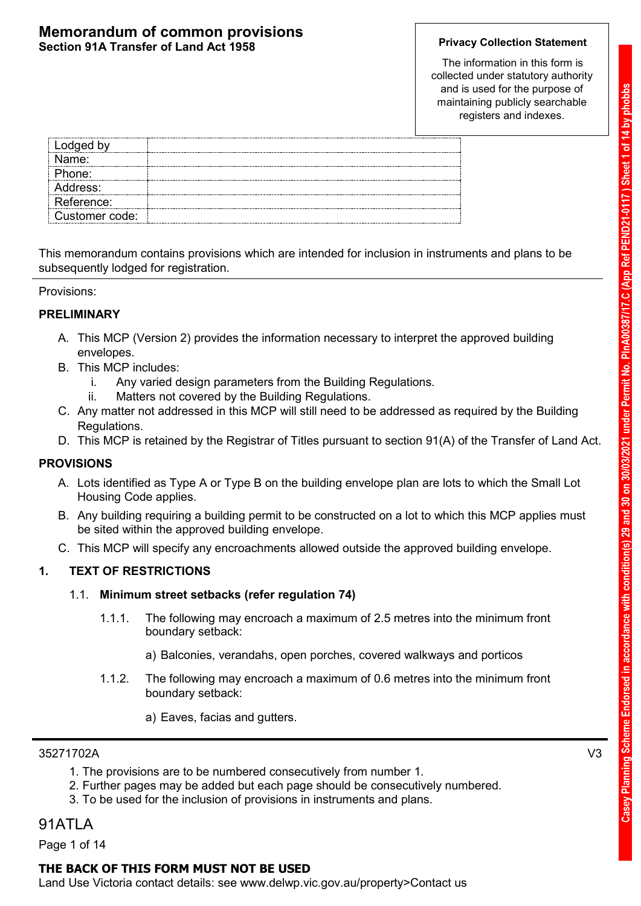The information in this form is collected under statutory authority and is used for the purpose of maintaining publicly searchable registers and indexes.

| Lodged by      |  |
|----------------|--|
| Name:          |  |
| Phone:         |  |
| Address:       |  |
| Reference:     |  |
| Customer code: |  |

This memorandum contains provisions which are intended for inclusion in instruments and plans to be subsequently lodged for registration.

Provisions:

### **PRELIMINARY**

- A. This MCP (Version 2) provides the information necessary to interpret the approved building envelopes.
- B. This MCP includes:
	- i. Any varied design parameters from the Building Regulations.
	- ii. Matters not covered by the Building Regulations.
- C. Any matter not addressed in this MCP will still need to be addressed as required by the Building Regulations.
- D. This MCP is retained by the Registrar of Titles pursuant to section 91(A) of the Transfer of Land Act.

### **PROVISIONS**

- A. Lots identified as Type A or Type B on the building envelope plan are lots to which the Small Lot Housing Code applies.
- B. Any building requiring a building permit to be constructed on a lot to which this MCP applies must be sited within the approved building envelope.
- C. This MCP will specify any encroachments allowed outside the approved building envelope.

### **1. TEXT OF RESTRICTIONS**

### 1.1. **Minimum street setbacks (refer regulation 74)**

- 1.1.1. The following may encroach a maximum of 2.5 metres into the minimum front boundary setback:
	- a) Balconies, verandahs, open porches, covered walkways and porticos
- 1.1.2. The following may encroach a maximum of 0.6 metres into the minimum front boundary setback:
	- a) Eaves, facias and gutters.

### 35271702A V3

- 1. The provisions are to be numbered consecutively from number 1.
- 2. Further pages may be added but each page should be consecutively numbered.
- 3. To be used for the inclusion of provisions in instruments and plans.

### 91ATLA

Page 1 of 14

### **THE BACK OF THIS FORM MUST NOT BE USED**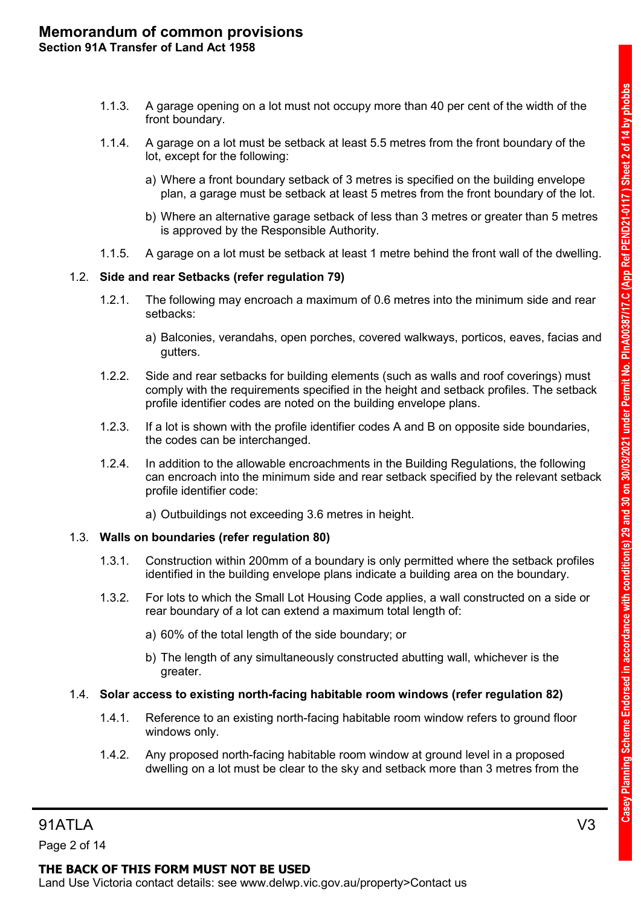- 1.1.3. A garage opening on a lot must not occupy more than 40 per cent of the width of the front boundary.
- 1.1.4. A garage on a lot must be setback at least 5.5 metres from the front boundary of the lot, except for the following:
	- a) Where a front boundary setback of 3 metres is specified on the building envelope plan, a garage must be setback at least 5 metres from the front boundary of the lot.
	- b) Where an alternative garage setback of less than 3 metres or greater than 5 metres is approved by the Responsible Authority.
- 1.1.5. A garage on a lot must be setback at least 1 metre behind the front wall of the dwelling.

### 1.2. **Side and rear Setbacks (refer regulation 79)**

- 1.2.1. The following may encroach a maximum of 0.6 metres into the minimum side and rear setbacks:
	- a) Balconies, verandahs, open porches, covered walkways, porticos, eaves, facias and gutters.
- 1.2.2. Side and rear setbacks for building elements (such as walls and roof coverings) must comply with the requirements specified in the height and setback profiles. The setback profile identifier codes are noted on the building envelope plans.
- 1.2.3. If a lot is shown with the profile identifier codes A and B on opposite side boundaries, the codes can be interchanged.
- 1.2.4. In addition to the allowable encroachments in the Building Regulations, the following can encroach into the minimum side and rear setback specified by the relevant setback profile identifier code:
	- a) Outbuildings not exceeding 3.6 metres in height.

### 1.3. **Walls on boundaries (refer regulation 80)**

- 1.3.1. Construction within 200mm of a boundary is only permitted where the setback profiles identified in the building envelope plans indicate a building area on the boundary.
- 1.3.2. For lots to which the Small Lot Housing Code applies, a wall constructed on a side or rear boundary of a lot can extend a maximum total length of:
	- a) 60% of the total length of the side boundary; or
	- b) The length of any simultaneously constructed abutting wall, whichever is the greater.

### 1.4. **Solar access to existing north-facing habitable room windows (refer regulation 82)**

- 1.4.1. Reference to an existing north-facing habitable room window refers to ground floor windows only.
- 1.4.2. Any proposed north-facing habitable room window at ground level in a proposed dwelling on a lot must be clear to the sky and setback more than 3 metres from the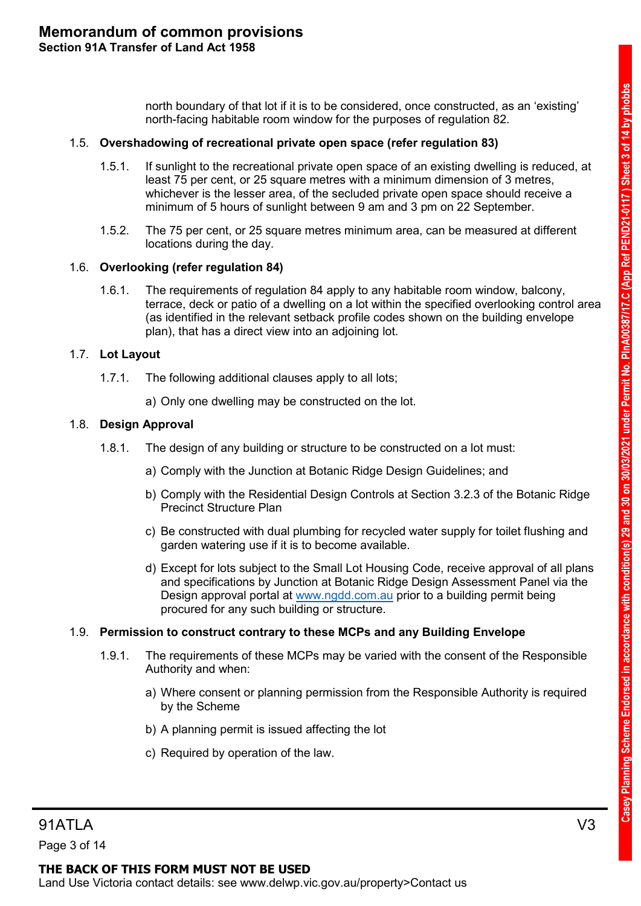north boundary of that lot if it is to be considered, once constructed, as an 'existing' north-facing habitable room window for the purposes of regulation 82.

### 1.5. **Overshadowing of recreational private open space (refer regulation 83)**

- 1.5.1. If sunlight to the recreational private open space of an existing dwelling is reduced, at least 75 per cent, or 25 square metres with a minimum dimension of 3 metres, whichever is the lesser area, of the secluded private open space should receive a minimum of 5 hours of sunlight between 9 am and 3 pm on 22 September.
- 1.5.2. The 75 per cent, or 25 square metres minimum area, can be measured at different locations during the day.

### 1.6. **Overlooking (refer regulation 84)**

1.6.1. The requirements of regulation 84 apply to any habitable room window, balcony, terrace, deck or patio of a dwelling on a lot within the specified overlooking control area (as identified in the relevant setback profile codes shown on the building envelope plan), that has a direct view into an adjoining lot.

### 1.7. **Lot Layout**

- 1.7.1. The following additional clauses apply to all lots;
	- a) Only one dwelling may be constructed on the lot.

### 1.8. **Design Approval**

- 1.8.1. The design of any building or structure to be constructed on a lot must:
	- a) Comply with the Junction at Botanic Ridge Design Guidelines; and
	- b) Comply with the Residential Design Controls at Section 3.2.3 of the Botanic Ridge Precinct Structure Plan
	- c) Be constructed with dual plumbing for recycled water supply for toilet flushing and garden watering use if it is to become available.
	- d) Except for lots subject to the Small Lot Housing Code, receive approval of all plans and specifications by Junction at Botanic Ridge Design Assessment Panel via the Design approval portal at [www.ngdd.com.au](http://www.ngdd.com.au/) prior to a building permit being procured for any such building or structure.

### 1.9. **Permission to construct contrary to these MCPs and any Building Envelope**

- 1.9.1. The requirements of these MCPs may be varied with the consent of the Responsible Authority and when:
	- a) Where consent or planning permission from the Responsible Authority is required by the Scheme
	- b) A planning permit is issued affecting the lot
	- c) Required by operation of the law.

Page 3 of 14

### **THE BACK OF THIS FORM MUST NOT BE USED**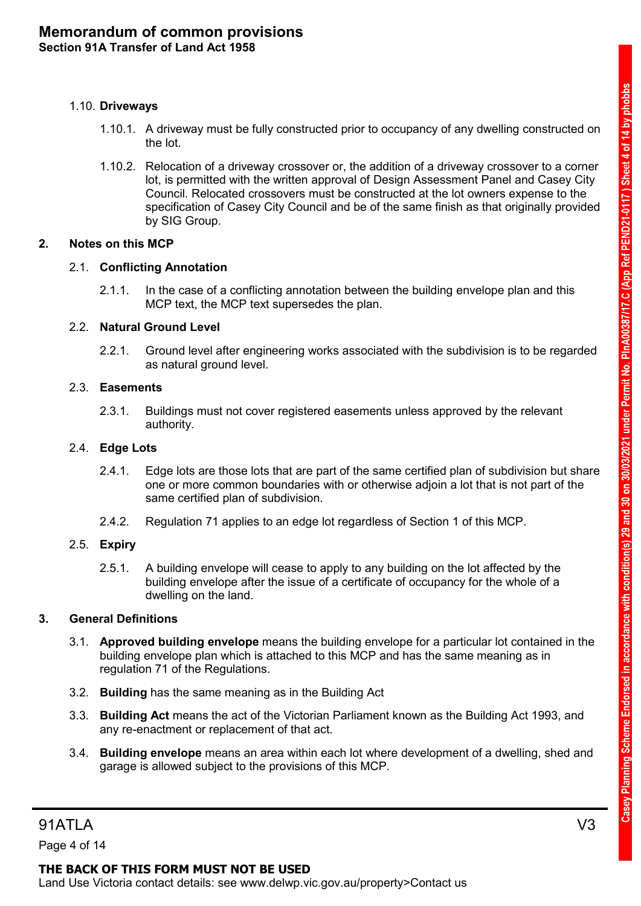### 1.10. **Driveways**

- 1.10.1. A driveway must be fully constructed prior to occupancy of any dwelling constructed on the lot.
- 1.10.2. Relocation of a driveway crossover or, the addition of a driveway crossover to a corner lot, is permitted with the written approval of Design Assessment Panel and Casey City Council. Relocated crossovers must be constructed at the lot owners expense to the specification of Casey City Council and be of the same finish as that originally provided by SIG Group.

### **2. Notes on this MCP**

### 2.1. **Conflicting Annotation**

2.1.1. In the case of a conflicting annotation between the building envelope plan and this MCP text, the MCP text supersedes the plan.

### 2.2. **Natural Ground Level**

2.2.1. Ground level after engineering works associated with the subdivision is to be regarded as natural ground level.

### 2.3. **Easements**

2.3.1. Buildings must not cover registered easements unless approved by the relevant authority.

### 2.4. **Edge Lots**

- 2.4.1. Edge lots are those lots that are part of the same certified plan of subdivision but share one or more common boundaries with or otherwise adjoin a lot that is not part of the same certified plan of subdivision.
- 2.4.2. Regulation 71 applies to an edge lot regardless of Section 1 of this MCP.

### 2.5. **Expiry**

2.5.1. A building envelope will cease to apply to any building on the lot affected by the building envelope after the issue of a certificate of occupancy for the whole of a dwelling on the land.

### **3. General Definitions**

- 3.1. **Approved building envelope** means the building envelope for a particular lot contained in the building envelope plan which is attached to this MCP and has the same meaning as in regulation 71 of the Regulations.
- 3.2. **Building** has the same meaning as in the Building Act
- 3.3. **Building Act** means the act of the Victorian Parliament known as the Building Act 1993, and any re-enactment or replacement of that act.
- 3.4. **Building envelope** means an area within each lot where development of a dwelling, shed and garage is allowed subject to the provisions of this MCP.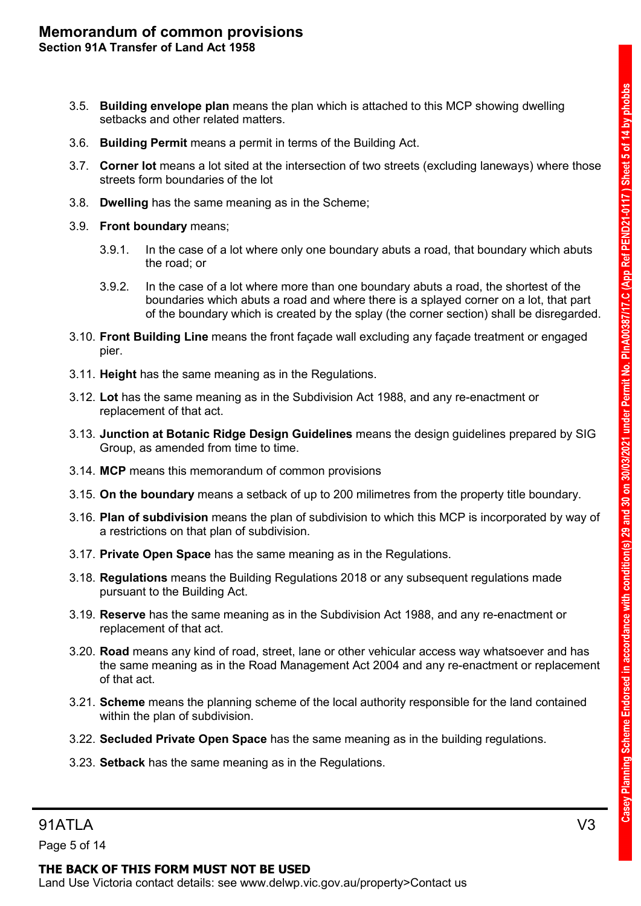- 3.5. **Building envelope plan** means the plan which is attached to this MCP showing dwelling setbacks and other related matters.
- 3.6. **Building Permit** means a permit in terms of the Building Act.
- 3.7. **Corner lot** means a lot sited at the intersection of two streets (excluding laneways) where those streets form boundaries of the lot
- 3.8. **Dwelling** has the same meaning as in the Scheme;
- 3.9. **Front boundary** means;
	- 3.9.1. In the case of a lot where only one boundary abuts a road, that boundary which abuts the road; or
	- 3.9.2. In the case of a lot where more than one boundary abuts a road, the shortest of the boundaries which abuts a road and where there is a splayed corner on a lot, that part of the boundary which is created by the splay (the corner section) shall be disregarded.
- 3.10. **Front Building Line** means the front façade wall excluding any façade treatment or engaged pier.
- 3.11. **Height** has the same meaning as in the Regulations.
- 3.12. **Lot** has the same meaning as in the Subdivision Act 1988, and any re-enactment or replacement of that act.
- 3.13. **Junction at Botanic Ridge Design Guidelines** means the design guidelines prepared by SIG Group, as amended from time to time.
- 3.14. **MCP** means this memorandum of common provisions
- 3.15. **On the boundary** means a setback of up to 200 milimetres from the property title boundary.
- 3.16. **Plan of subdivision** means the plan of subdivision to which this MCP is incorporated by way of a restrictions on that plan of subdivision.
- 3.17. **Private Open Space** has the same meaning as in the Regulations.
- 3.18. **Regulations** means the Building Regulations 2018 or any subsequent regulations made pursuant to the Building Act.
- 3.19. **Reserve** has the same meaning as in the Subdivision Act 1988, and any re-enactment or replacement of that act.
- 3.20. **Road** means any kind of road, street, lane or other vehicular access way whatsoever and has the same meaning as in the Road Management Act 2004 and any re-enactment or replacement of that act.
- 3.21. **Scheme** means the planning scheme of the local authority responsible for the land contained within the plan of subdivision.
- 3.22. **Secluded Private Open Space** has the same meaning as in the building regulations.
- 3.23. **Setback** has the same meaning as in the Regulations.

Page 5 of 14

### **THE BACK OF THIS FORM MUST NOT BE USED**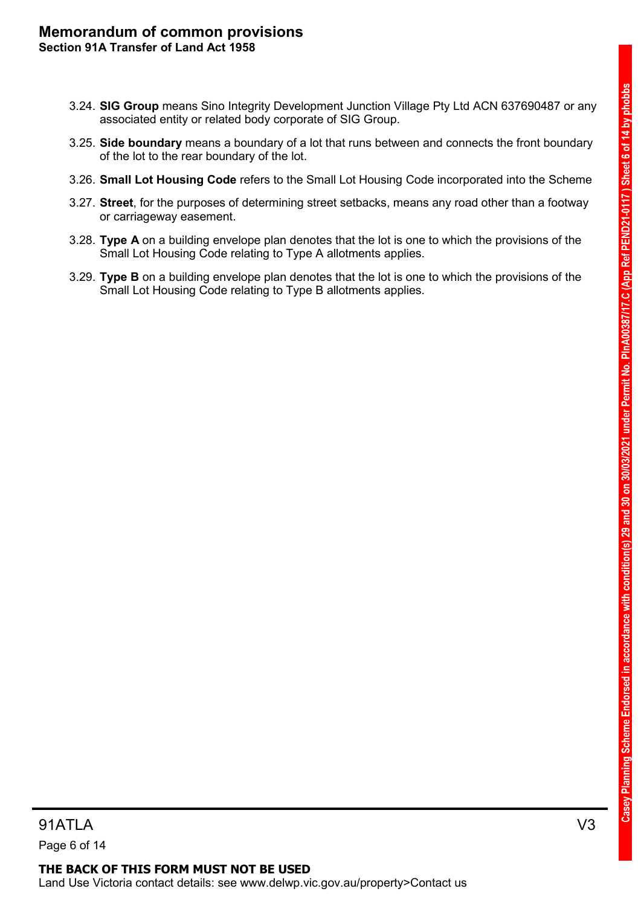- 3.24. **SIG Group** means Sino Integrity Development Junction Village Pty Ltd ACN 637690487 or any associated entity or related body corporate of SIG Group.
- 3.25. **Side boundary** means a boundary of a lot that runs between and connects the front boundary of the lot to the rear boundary of the lot.
- 3.26. **Small Lot Housing Code** refers to the Small Lot Housing Code incorporated into the Scheme
- 3.27. **Street**, for the purposes of determining street setbacks, means any road other than a footway or carriageway easement.
- 3.28. **Type A** on a building envelope plan denotes that the lot is one to which the provisions of the Small Lot Housing Code relating to Type A allotments applies.
- 3.29. **Type B** on a building envelope plan denotes that the lot is one to which the provisions of the Small Lot Housing Code relating to Type B allotments applies.

### **THE BACK OF THIS FORM MUST NOT BE USED** Land Use Victoria contact details: see www.delwp.vic.gov.au/property>Contact us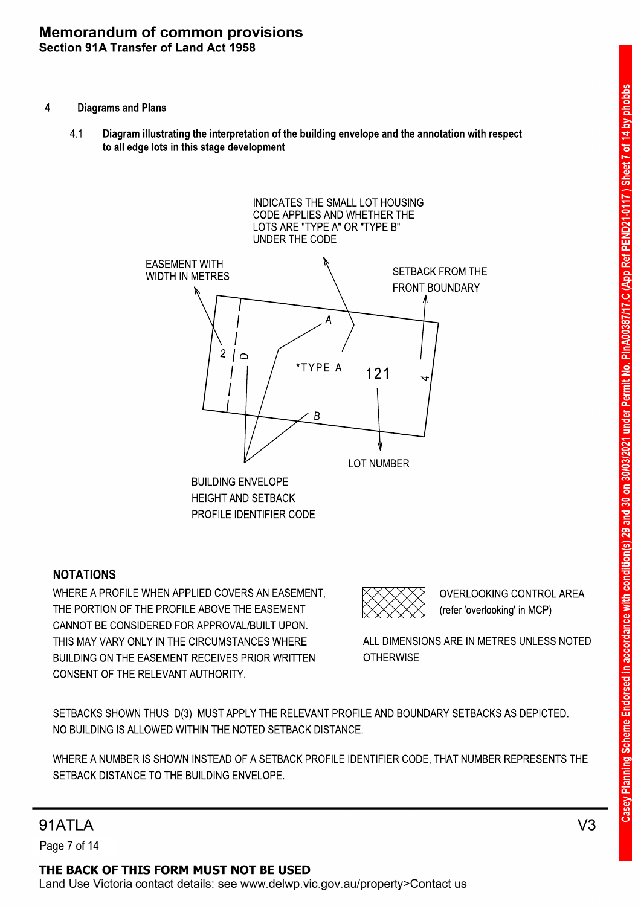- 4 Diagrams and Plans
	- Diagram illustrating the interpretation of the building envelope and the annotation with respect to all edge lots in this stage development 4.1



### NOTATIONS

CONSENT OF THE RELEVANT AUTHORITY. BUILDING ON THE EASEMENT RECEIVES PRIOR WRITTEN THIS MAY VARY ONLY IN THE CIRCUMSTANCES WHERE CANNOT BE CONSIDERED FOR APPROVAL/BUILT UPON. THE PORTION OF THE PROFILE ABOVE THE EASEMENT WHERE A PROFILE WHEN APPLIED COVERS AN EASEMENT,

(refer 'overlooking' in MCP) OVERLOOKING CONTROL AREA

**OTHERWISE** ALL DIMENSIONS ARE IN METRES UNLESS NOTED

NO BUILDING IS ALLOWED WITHIN THE NOTED SETBACK DISTANCE. SETBACKS SHOWN THUS D(3) MUST APPLY THE RELEVANT PROFILE AND BOUNDARY SETBACKS AS DEPICTED.

SETBACK DISTANCE TO THE BUILDING ENVELOPE. WHERE A NUMBER IS SHOWN INSTEAD OF A SETBACK PROFILE IDENTIFIER CODE, THAT NUMBER REPRESENTS THE

### **91ATI A**

Page 7 of 14

THE BACK OF THIS FORM MUST NOT BE USED Land Use Victoria contact details: see www.delwp.vic.gov.au/property>Contact us

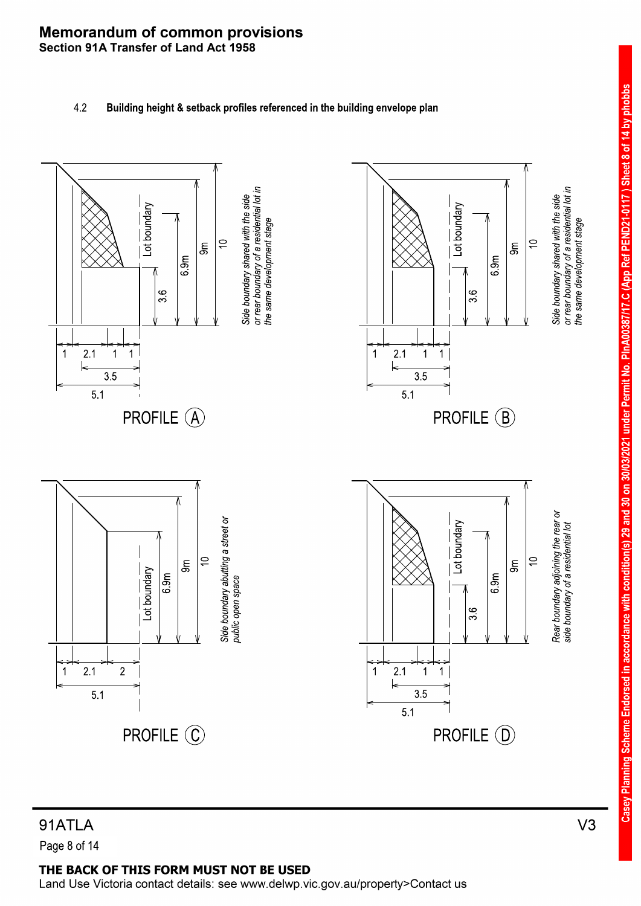### 4.2 Building height & setback profiles referenced in the building envelope plan



# Casey Planning Scheme Endorsed in accordance with condition(s) 29 and 30 on 30/03/2021 under Permit No. PlnA00387/17.C (App Ref PEND21-0117) Sheet 8 of 14 by phobbs

# 91ATLA

Page 8 of 14

### THE BACK OF THIS FORM MUST NOT BE USED

Land Use Victoria contact details: see www.delwp.vic.gov.au/property>Contact us

 $V<sub>3</sub>$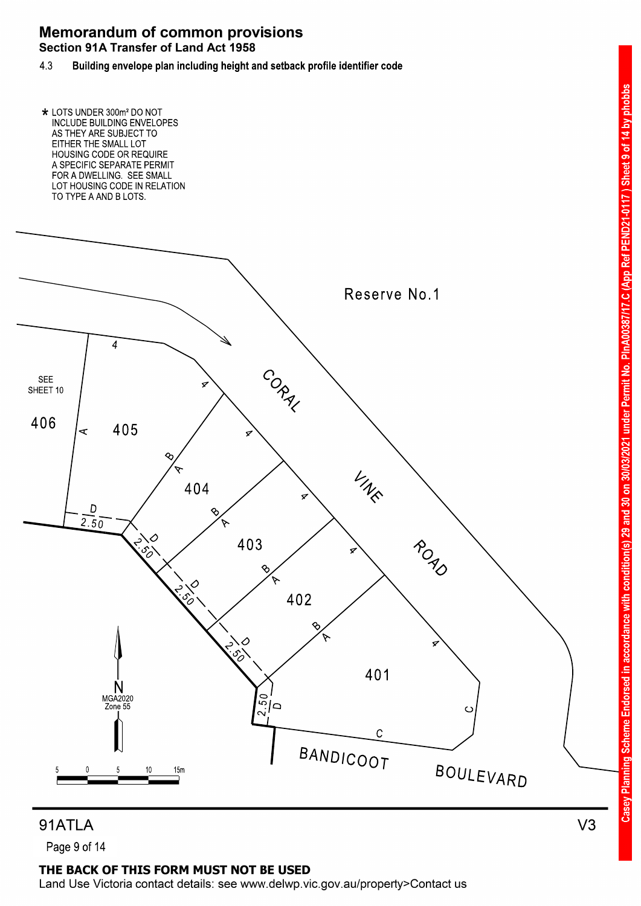

91ATLA

Page 9 of 14

### THE BACK OF THIS FORM MUST NOT BE USED

Land Use Victoria contact details: see www.delwp.vic.gov.au/property>Contact us

 $V<sub>3</sub>$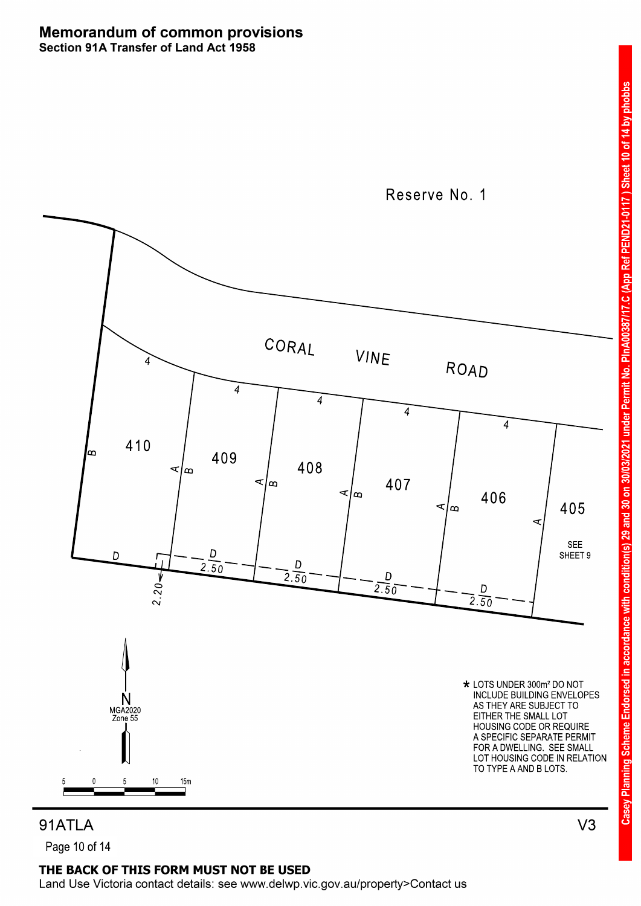

PEND21-0117) Sheet 10 of 14 by phobbs

(App Ref

 $\ddot{\circ}$ 

PInA00387

under Permit No.

3/2021

in accordance with condition(s) 29 and 30 on 30/0

**Planning Scheme Endorsed** 

Casey

91ATLA Page 10 of 14

### THE BACK OF THIS FORM MUST NOT BE USED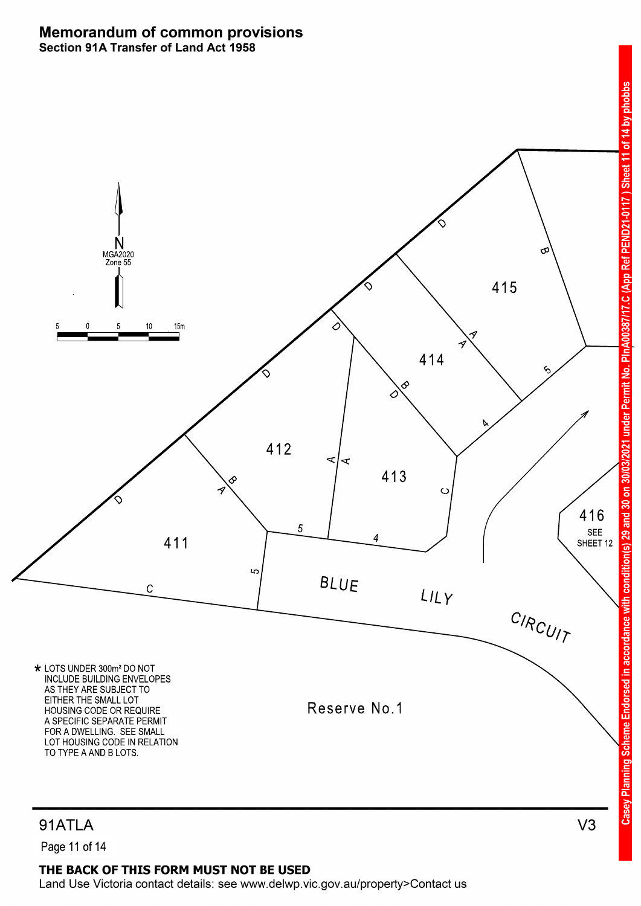

Ő

PinA

ermit No.

under Pe

eme Endorsed

## 91ATLA

Page 11 of 14

### THE BACK OF THIS FORM MUST NOT BE USED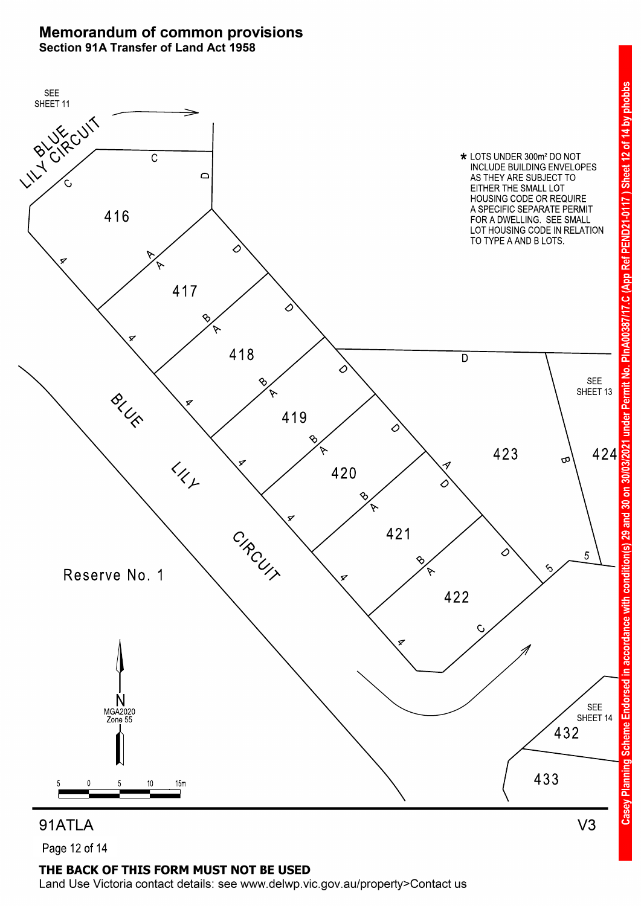

Page 12 of 14

### THE BACK OF THIS FORM MUST NOT BE USED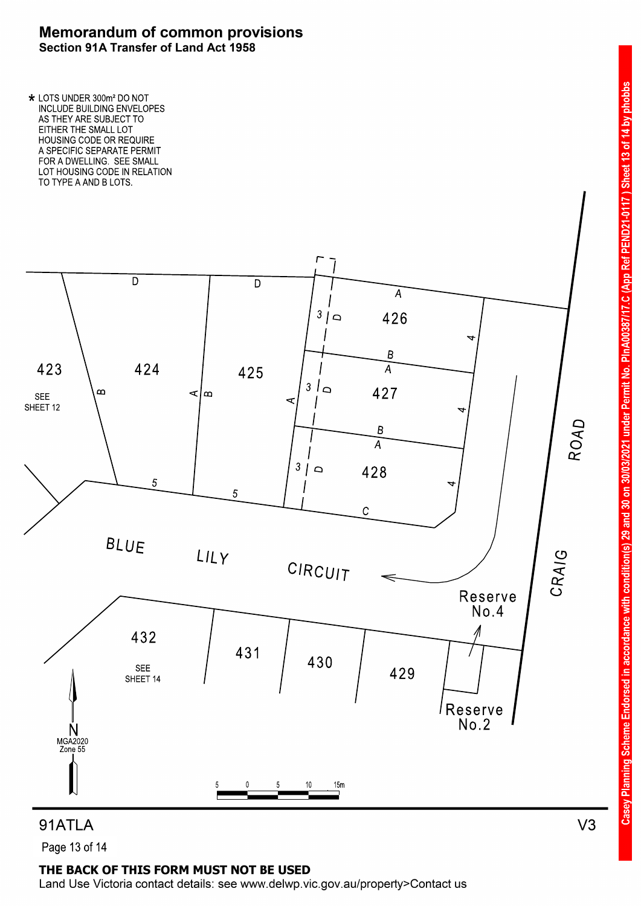TO TYPE A AND B LOTS. LOT HOUSING CODE IN RELATION FOR A DWELLING. SEE SMALL A SPECIFIC SEPARATE PERMIT HOUSING CODE OR REQUIRE EITHER THE SMALL LOT AS THEY ARE SUBJECT TO INCLUDE BUILDING ENVELOPES \* LOTS UNDER 300m<sup>2</sup> DO NOT



in accordance with condition(s) 29 and 30 on 30/03/2021 under Permit No.

**Casey Planning Scheme Endorsed** 

PEND21-0117) Sheet 13 of 14 by phobbs

PInA00387/17.C (App Ref

### 91ATLA

Page 13 of 14

### THE BACK OF THIS FORM MUST NOT BE USED

Land Use Victoria contact details: see www.delwp.vic.gov.au/property>Contact us

 $V3$